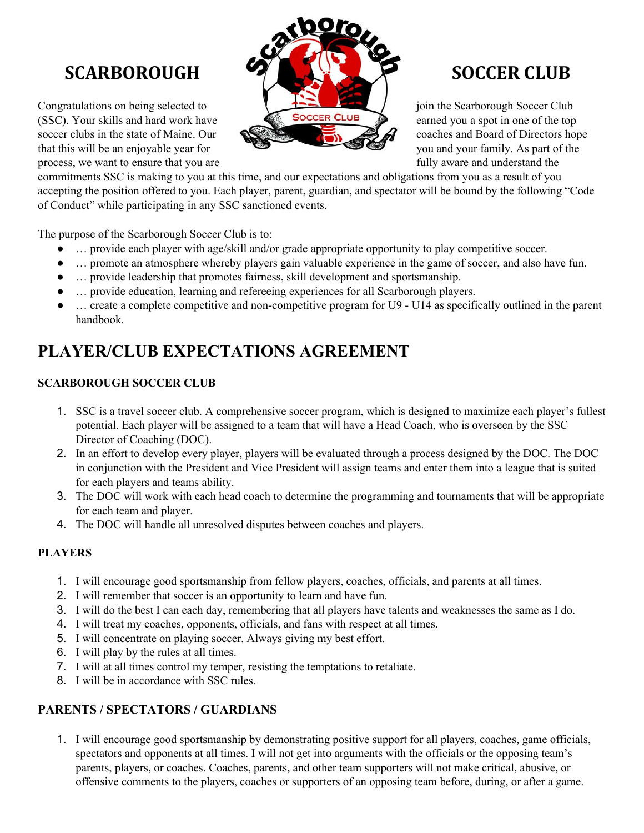Congratulations on being selected to join the Scarborough Soccer Club<br>
Soccer CLUB<br>
Soccer CLUB<br>
Soccer CLUB (SSC). Your skills and hard work have **EXECLUB** earned you a spot in one of the top soccer clubs in the state of Maine. Our  $\mathbb{C}$   $\mathbb{C}$   $\mathbb{C}$  coaches and Board of Directors hope that this will be an enjoyable year for you and your family. As part of the process, we want to ensure that you are fully aware and understand the fully aware and understand the



commitments SSC is making to you at this time, and our expectations and obligations from you as a result of you accepting the position offered to you. Each player, parent, guardian, and spectator will be bound by the following "Code of Conduct" while participating in any SSC sanctioned events.

The purpose of the Scarborough Soccer Club is to:

- ... provide each player with age/skill and/or grade appropriate opportunity to play competitive soccer.
- … promote an atmosphere whereby players gain valuable experience in the game of soccer, and also have fun.
- ... provide leadership that promotes fairness, skill development and sportsmanship.
- ... provide education, learning and refereeing experiences for all Scarborough players.
- $\ldots$  create a complete competitive and non-competitive program for U9 U14 as specifically outlined in the parent handbook.

# **PLAYER/CLUB EXPECTATIONS AGREEMENT**

## **SCARBOROUGH SOCCER CLUB**

- 1. SSC is a travel soccer club. A comprehensive soccer program, which is designed to maximize each player's fullest potential. Each player will be assigned to a team that will have a Head Coach, who is overseen by the SSC Director of Coaching (DOC).
- 2. In an effort to develop every player, players will be evaluated through a process designed by the DOC. The DOC in conjunction with the President and Vice President will assign teams and enter them into a league that is suited for each players and teams ability.
- 3. The DOC will work with each head coach to determine the programming and tournaments that will be appropriate for each team and player.
- 4. The DOC will handle all unresolved disputes between coaches and players.

### **PLAYERS**

- 1. I will encourage good sportsmanship from fellow players, coaches, officials, and parents at all times.
- 2. I will remember that soccer is an opportunity to learn and have fun.
- 3. I will do the best I can each day, remembering that all players have talents and weaknesses the same as I do.
- 4. I will treat my coaches, opponents, officials, and fans with respect at all times.
- 5. I will concentrate on playing soccer. Always giving my best effort.
- 6. I will play by the rules at all times.
- 7. I will at all times control my temper, resisting the temptations to retaliate.
- 8. I will be in accordance with SSC rules.

## **PARENTS / SPECTATORS / GUARDIANS**

1. I will encourage good sportsmanship by demonstrating positive support for all players, coaches, game officials, spectators and opponents at all times. I will not get into arguments with the officials or the opposing team's parents, players, or coaches. Coaches, parents, and other team supporters will not make critical, abusive, or offensive comments to the players, coaches or supporters of an opposing team before, during, or after a game.